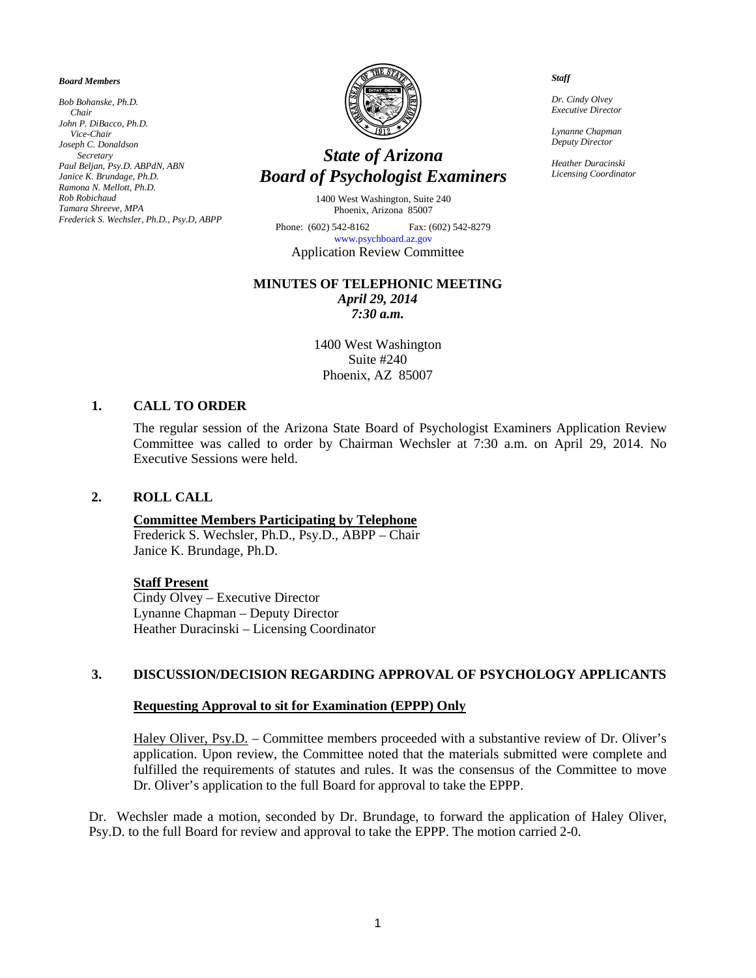#### *Board Members*

*Bob Bohanske, Ph.D. Chair John P. DiBacco, Ph.D. Vice-Chair Joseph C. Donaldson Secretary Paul Beljan, Psy.D. ABPdN, ABN Janice K. Brundage, Ph.D. Ramona N. Mellott, Ph.D. Rob Robichaud Tamara Shreeve, MPA Frederick S. Wechsler, Ph.D., Psy.D, ABPP*



# *State of Arizona Board of Psychologist Examiners*

1400 West Washington, Suite 240 Phoenix, Arizona 85007

Phone: (602) 542-8162 Fax: (602) 542-8279 [www.psychboard.az.gov](http://www.psychboard.az.gov/)  Application Review Committee

# **MINUTES OF TELEPHONIC MEETING**

*April 29, 2014 7:30 a.m.*

1400 West Washington Suite #240 Phoenix, AZ 85007

# **1. CALL TO ORDER**

The regular session of the Arizona State Board of Psychologist Examiners Application Review Committee was called to order by Chairman Wechsler at 7:30 a.m. on April 29, 2014. No Executive Sessions were held.

### **2. ROLL CALL**

### **Committee Members Participating by Telephone**

Frederick S. Wechsler, Ph.D., Psy.D., ABPP – Chair Janice K. Brundage, Ph.D.

#### **Staff Present**

Cindy Olvey – Executive Director Lynanne Chapman – Deputy Director Heather Duracinski – Licensing Coordinator

### **3. DISCUSSION/DECISION REGARDING APPROVAL OF PSYCHOLOGY APPLICANTS**

# **Requesting Approval to sit for Examination (EPPP) Only**

Haley Oliver, Psy.D. – Committee members proceeded with a substantive review of Dr. Oliver's application. Upon review, the Committee noted that the materials submitted were complete and fulfilled the requirements of statutes and rules. It was the consensus of the Committee to move Dr. Oliver's application to the full Board for approval to take the EPPP.

Dr. Wechsler made a motion, seconded by Dr. Brundage, to forward the application of Haley Oliver, Psy.D. to the full Board for review and approval to take the EPPP. The motion carried 2-0.

#### *Staff*

 *Dr. Cindy Olvey Executive Director*

 *Lynanne Chapman Deputy Director*

 *Heather Duracinski Licensing Coordinator*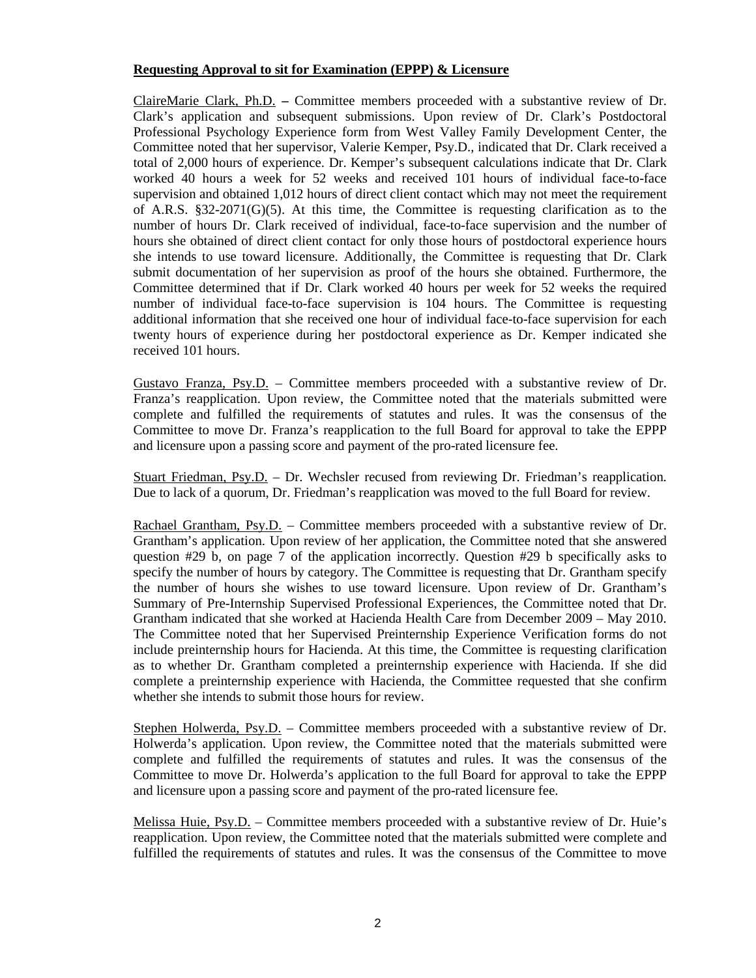# **Requesting Approval to sit for Examination (EPPP) & Licensure**

ClaireMarie Clark, Ph.D. **–** Committee members proceeded with a substantive review of Dr. Clark's application and subsequent submissions. Upon review of Dr. Clark's Postdoctoral Professional Psychology Experience form from West Valley Family Development Center, the Committee noted that her supervisor, Valerie Kemper, Psy.D., indicated that Dr. Clark received a total of 2,000 hours of experience. Dr. Kemper's subsequent calculations indicate that Dr. Clark worked 40 hours a week for 52 weeks and received 101 hours of individual face-to-face supervision and obtained 1,012 hours of direct client contact which may not meet the requirement of A.R.S.  $\S 32{\text -}2071(G)(5)$ . At this time, the Committee is requesting clarification as to the number of hours Dr. Clark received of individual, face-to-face supervision and the number of hours she obtained of direct client contact for only those hours of postdoctoral experience hours she intends to use toward licensure. Additionally, the Committee is requesting that Dr. Clark submit documentation of her supervision as proof of the hours she obtained. Furthermore, the Committee determined that if Dr. Clark worked 40 hours per week for 52 weeks the required number of individual face-to-face supervision is 104 hours. The Committee is requesting additional information that she received one hour of individual face-to-face supervision for each twenty hours of experience during her postdoctoral experience as Dr. Kemper indicated she received 101 hours.

Gustavo Franza, Psy.D. – Committee members proceeded with a substantive review of Dr. Franza's reapplication. Upon review, the Committee noted that the materials submitted were complete and fulfilled the requirements of statutes and rules. It was the consensus of the Committee to move Dr. Franza's reapplication to the full Board for approval to take the EPPP and licensure upon a passing score and payment of the pro-rated licensure fee.

Stuart Friedman, Psy.D. – Dr. Wechsler recused from reviewing Dr. Friedman's reapplication. Due to lack of a quorum, Dr. Friedman's reapplication was moved to the full Board for review.

Rachael Grantham, Psy.D. – Committee members proceeded with a substantive review of Dr. Grantham's application. Upon review of her application, the Committee noted that she answered question #29 b, on page 7 of the application incorrectly. Question #29 b specifically asks to specify the number of hours by category. The Committee is requesting that Dr. Grantham specify the number of hours she wishes to use toward licensure. Upon review of Dr. Grantham's Summary of Pre-Internship Supervised Professional Experiences, the Committee noted that Dr. Grantham indicated that she worked at Hacienda Health Care from December 2009 – May 2010. The Committee noted that her Supervised Preinternship Experience Verification forms do not include preinternship hours for Hacienda. At this time, the Committee is requesting clarification as to whether Dr. Grantham completed a preinternship experience with Hacienda. If she did complete a preinternship experience with Hacienda, the Committee requested that she confirm whether she intends to submit those hours for review.

Stephen Holwerda, Psy.D. – Committee members proceeded with a substantive review of Dr. Holwerda's application. Upon review, the Committee noted that the materials submitted were complete and fulfilled the requirements of statutes and rules. It was the consensus of the Committee to move Dr. Holwerda's application to the full Board for approval to take the EPPP and licensure upon a passing score and payment of the pro-rated licensure fee.

Melissa Huie, Psy.D. – Committee members proceeded with a substantive review of Dr. Huie's reapplication. Upon review, the Committee noted that the materials submitted were complete and fulfilled the requirements of statutes and rules. It was the consensus of the Committee to move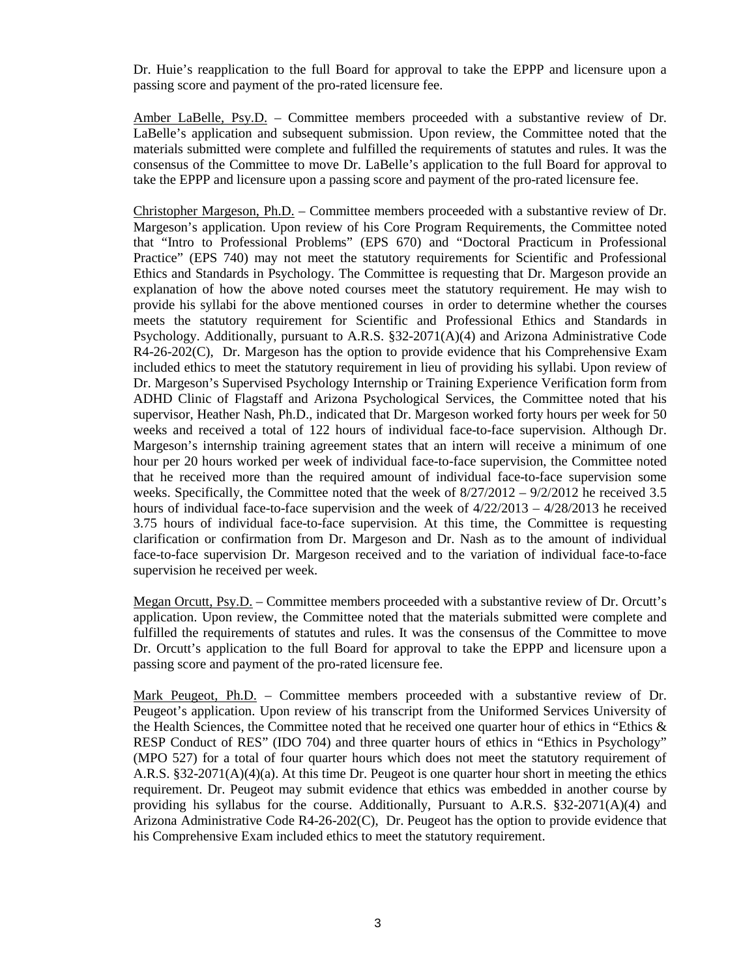Dr. Huie's reapplication to the full Board for approval to take the EPPP and licensure upon a passing score and payment of the pro-rated licensure fee.

Amber LaBelle, Psy.D. – Committee members proceeded with a substantive review of Dr. LaBelle's application and subsequent submission. Upon review, the Committee noted that the materials submitted were complete and fulfilled the requirements of statutes and rules. It was the consensus of the Committee to move Dr. LaBelle's application to the full Board for approval to take the EPPP and licensure upon a passing score and payment of the pro-rated licensure fee.

Christopher Margeson, Ph.D. – Committee members proceeded with a substantive review of Dr. Margeson's application. Upon review of his Core Program Requirements, the Committee noted that "Intro to Professional Problems" (EPS 670) and "Doctoral Practicum in Professional Practice" (EPS 740) may not meet the statutory requirements for Scientific and Professional Ethics and Standards in Psychology. The Committee is requesting that Dr. Margeson provide an explanation of how the above noted courses meet the statutory requirement. He may wish to provide his syllabi for the above mentioned courses in order to determine whether the courses meets the statutory requirement for Scientific and Professional Ethics and Standards in Psychology. Additionally, pursuant to A.R.S. §32-2071(A)(4) and Arizona Administrative Code R4-26-202(C), Dr. Margeson has the option to provide evidence that his Comprehensive Exam included ethics to meet the statutory requirement in lieu of providing his syllabi. Upon review of Dr. Margeson's Supervised Psychology Internship or Training Experience Verification form from ADHD Clinic of Flagstaff and Arizona Psychological Services, the Committee noted that his supervisor, Heather Nash, Ph.D., indicated that Dr. Margeson worked forty hours per week for 50 weeks and received a total of 122 hours of individual face-to-face supervision. Although Dr. Margeson's internship training agreement states that an intern will receive a minimum of one hour per 20 hours worked per week of individual face-to-face supervision, the Committee noted that he received more than the required amount of individual face-to-face supervision some weeks. Specifically, the Committee noted that the week of  $8/27/2012 - 9/2/2012$  he received 3.5 hours of individual face-to-face supervision and the week of  $4/22/2013 - 4/28/2013$  he received 3.75 hours of individual face-to-face supervision. At this time, the Committee is requesting clarification or confirmation from Dr. Margeson and Dr. Nash as to the amount of individual face-to-face supervision Dr. Margeson received and to the variation of individual face-to-face supervision he received per week.

Megan Orcutt, Psy.D. – Committee members proceeded with a substantive review of Dr. Orcutt's application. Upon review, the Committee noted that the materials submitted were complete and fulfilled the requirements of statutes and rules. It was the consensus of the Committee to move Dr. Orcutt's application to the full Board for approval to take the EPPP and licensure upon a passing score and payment of the pro-rated licensure fee.

Mark Peugeot, Ph.D. – Committee members proceeded with a substantive review of Dr. Peugeot's application. Upon review of his transcript from the Uniformed Services University of the Health Sciences, the Committee noted that he received one quarter hour of ethics in "Ethics  $\&$ RESP Conduct of RES" (IDO 704) and three quarter hours of ethics in "Ethics in Psychology" (MPO 527) for a total of four quarter hours which does not meet the statutory requirement of A.R.S. §32-2071(A)(4)(a). At this time Dr. Peugeot is one quarter hour short in meeting the ethics requirement. Dr. Peugeot may submit evidence that ethics was embedded in another course by providing his syllabus for the course. Additionally, Pursuant to A.R.S. §32-2071(A)(4) and Arizona Administrative Code R4-26-202(C), Dr. Peugeot has the option to provide evidence that his Comprehensive Exam included ethics to meet the statutory requirement.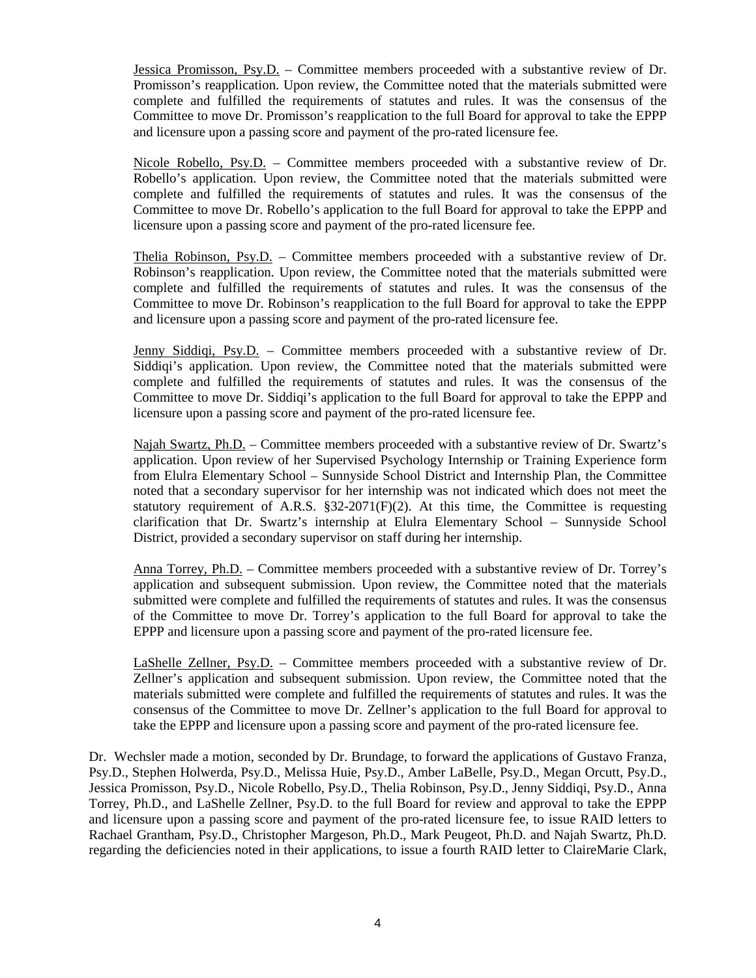Jessica Promisson, Psy.D. – Committee members proceeded with a substantive review of Dr. Promisson's reapplication. Upon review, the Committee noted that the materials submitted were complete and fulfilled the requirements of statutes and rules. It was the consensus of the Committee to move Dr. Promisson's reapplication to the full Board for approval to take the EPPP and licensure upon a passing score and payment of the pro-rated licensure fee.

Nicole Robello, Psy.D. – Committee members proceeded with a substantive review of Dr. Robello's application. Upon review, the Committee noted that the materials submitted were complete and fulfilled the requirements of statutes and rules. It was the consensus of the Committee to move Dr. Robello's application to the full Board for approval to take the EPPP and licensure upon a passing score and payment of the pro-rated licensure fee.

Thelia Robinson, Psy.D. – Committee members proceeded with a substantive review of Dr. Robinson's reapplication. Upon review, the Committee noted that the materials submitted were complete and fulfilled the requirements of statutes and rules. It was the consensus of the Committee to move Dr. Robinson's reapplication to the full Board for approval to take the EPPP and licensure upon a passing score and payment of the pro-rated licensure fee.

Jenny Siddiqi, Psy.D. – Committee members proceeded with a substantive review of Dr. Siddiqi's application. Upon review, the Committee noted that the materials submitted were complete and fulfilled the requirements of statutes and rules. It was the consensus of the Committee to move Dr. Siddiqi's application to the full Board for approval to take the EPPP and licensure upon a passing score and payment of the pro-rated licensure fee.

Najah Swartz, Ph.D. – Committee members proceeded with a substantive review of Dr. Swartz's application. Upon review of her Supervised Psychology Internship or Training Experience form from Elulra Elementary School – Sunnyside School District and Internship Plan, the Committee noted that a secondary supervisor for her internship was not indicated which does not meet the statutory requirement of A.R.S.  $\S 32{\text -}2071(F)(2)$ . At this time, the Committee is requesting clarification that Dr. Swartz's internship at Elulra Elementary School – Sunnyside School District, provided a secondary supervisor on staff during her internship.

Anna Torrey, Ph.D. – Committee members proceeded with a substantive review of Dr. Torrey's application and subsequent submission. Upon review, the Committee noted that the materials submitted were complete and fulfilled the requirements of statutes and rules. It was the consensus of the Committee to move Dr. Torrey's application to the full Board for approval to take the EPPP and licensure upon a passing score and payment of the pro-rated licensure fee.

LaShelle Zellner, Psy.D. – Committee members proceeded with a substantive review of Dr. Zellner's application and subsequent submission. Upon review, the Committee noted that the materials submitted were complete and fulfilled the requirements of statutes and rules. It was the consensus of the Committee to move Dr. Zellner's application to the full Board for approval to take the EPPP and licensure upon a passing score and payment of the pro-rated licensure fee.

Dr. Wechsler made a motion, seconded by Dr. Brundage, to forward the applications of Gustavo Franza, Psy.D., Stephen Holwerda, Psy.D., Melissa Huie, Psy.D., Amber LaBelle, Psy.D., Megan Orcutt, Psy.D., Jessica Promisson, Psy.D., Nicole Robello, Psy.D., Thelia Robinson, Psy.D., Jenny Siddiqi, Psy.D., Anna Torrey, Ph.D., and LaShelle Zellner, Psy.D. to the full Board for review and approval to take the EPPP and licensure upon a passing score and payment of the pro-rated licensure fee, to issue RAID letters to Rachael Grantham, Psy.D., Christopher Margeson, Ph.D., Mark Peugeot, Ph.D. and Najah Swartz, Ph.D. regarding the deficiencies noted in their applications, to issue a fourth RAID letter to ClaireMarie Clark,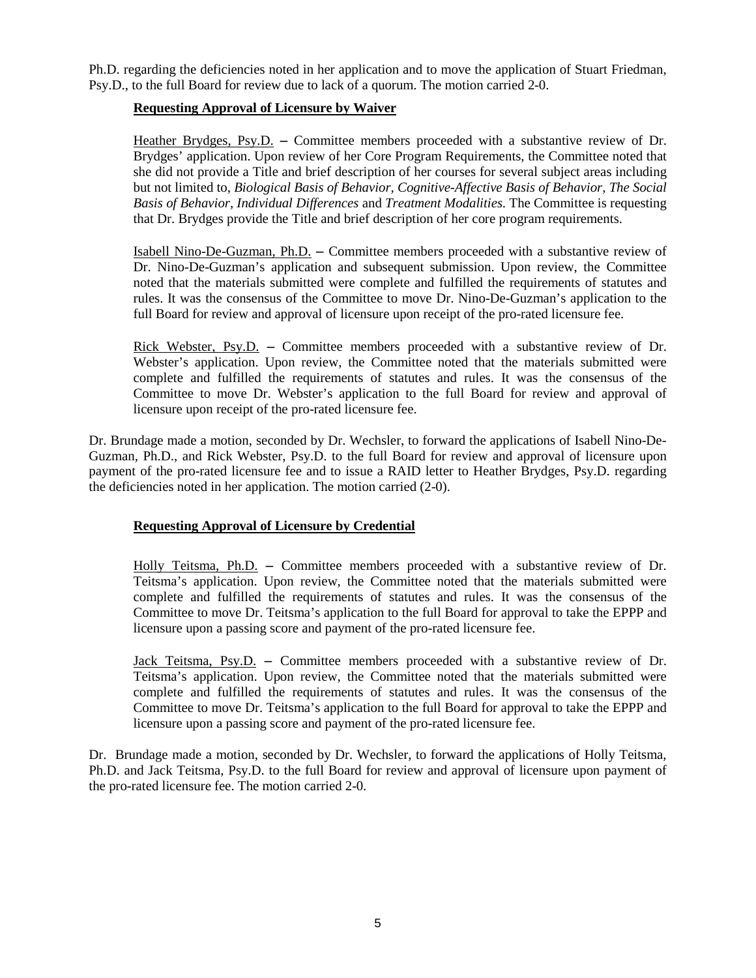Ph.D. regarding the deficiencies noted in her application and to move the application of Stuart Friedman, Psy.D., to the full Board for review due to lack of a quorum. The motion carried 2-0.

# **Requesting Approval of Licensure by Waiver**

Heather Brydges, Psy.D. **–** Committee members proceeded with a substantive review of Dr. Brydges' application. Upon review of her Core Program Requirements, the Committee noted that she did not provide a Title and brief description of her courses for several subject areas including but not limited to, *Biological Basis of Behavior, Cognitive-Affective Basis of Behavior, The Social Basis of Behavior, Individual Differences* and *Treatment Modalities.* The Committee is requesting that Dr. Brydges provide the Title and brief description of her core program requirements.

Isabell Nino-De-Guzman, Ph.D. **–** Committee members proceeded with a substantive review of Dr. Nino-De-Guzman's application and subsequent submission. Upon review, the Committee noted that the materials submitted were complete and fulfilled the requirements of statutes and rules. It was the consensus of the Committee to move Dr. Nino-De-Guzman's application to the full Board for review and approval of licensure upon receipt of the pro-rated licensure fee.

Rick Webster, Psy.D. **–** Committee members proceeded with a substantive review of Dr. Webster's application. Upon review, the Committee noted that the materials submitted were complete and fulfilled the requirements of statutes and rules. It was the consensus of the Committee to move Dr. Webster's application to the full Board for review and approval of licensure upon receipt of the pro-rated licensure fee.

Dr. Brundage made a motion, seconded by Dr. Wechsler, to forward the applications of Isabell Nino-De-Guzman, Ph.D., and Rick Webster, Psy.D. to the full Board for review and approval of licensure upon payment of the pro-rated licensure fee and to issue a RAID letter to Heather Brydges, Psy.D. regarding the deficiencies noted in her application. The motion carried (2-0).

# **Requesting Approval of Licensure by Credential**

Holly Teitsma, Ph.D. **–** Committee members proceeded with a substantive review of Dr. Teitsma's application. Upon review, the Committee noted that the materials submitted were complete and fulfilled the requirements of statutes and rules. It was the consensus of the Committee to move Dr. Teitsma's application to the full Board for approval to take the EPPP and licensure upon a passing score and payment of the pro-rated licensure fee.

Jack Teitsma, Psy.D. **–** Committee members proceeded with a substantive review of Dr. Teitsma's application. Upon review, the Committee noted that the materials submitted were complete and fulfilled the requirements of statutes and rules. It was the consensus of the Committee to move Dr. Teitsma's application to the full Board for approval to take the EPPP and licensure upon a passing score and payment of the pro-rated licensure fee.

Dr. Brundage made a motion, seconded by Dr. Wechsler, to forward the applications of Holly Teitsma, Ph.D. and Jack Teitsma, Psy.D. to the full Board for review and approval of licensure upon payment of the pro-rated licensure fee. The motion carried 2-0.